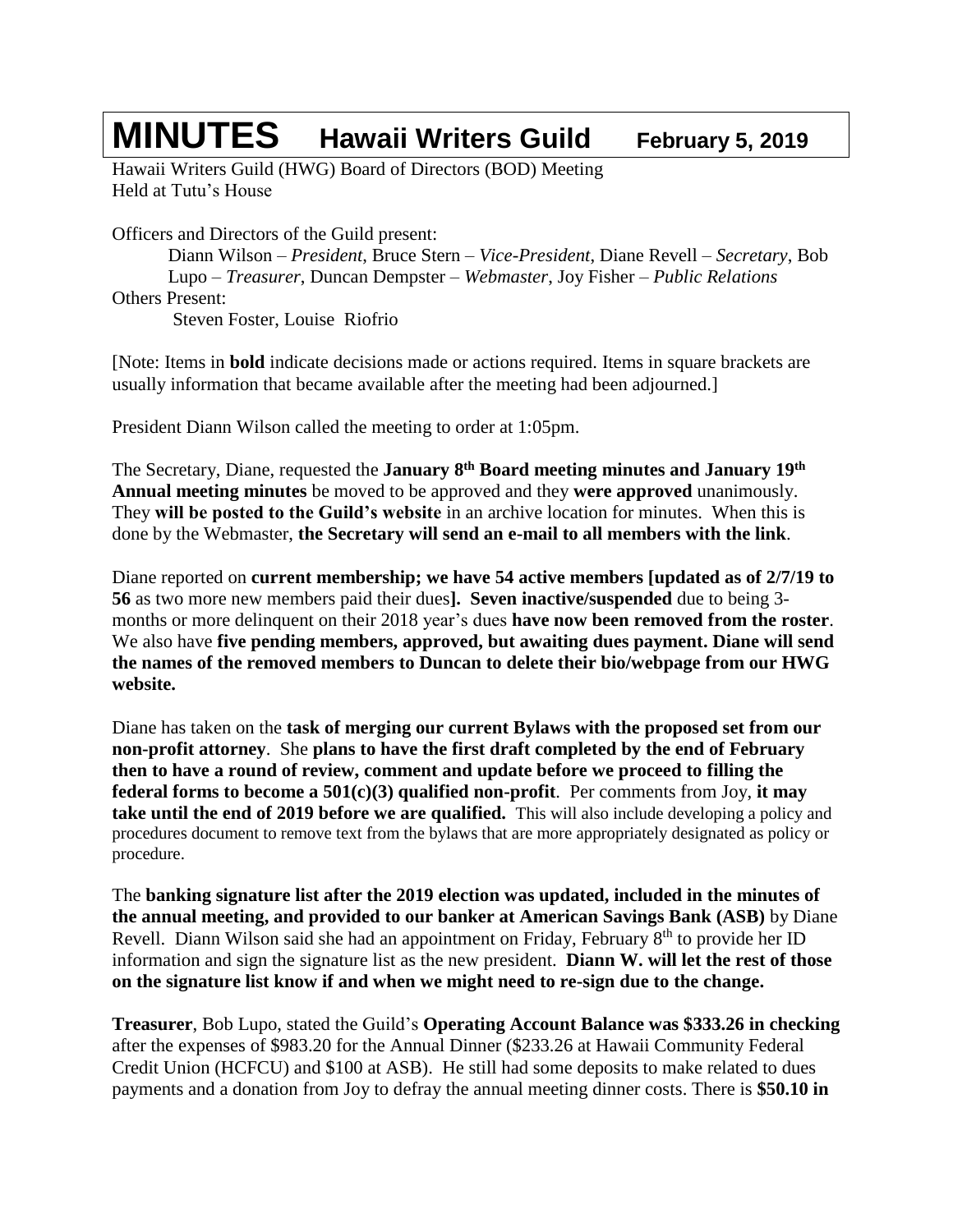## **MINUTES Hawaii Writers Guild February 5, <sup>2019</sup>**

Hawaii Writers Guild (HWG) Board of Directors (BOD) Meeting Held at Tutu's House

Officers and Directors of the Guild present:

Diann Wilson – *President*, Bruce Stern – *Vice-President*, Diane Revell – *Secretary*, Bob Lupo – *Treasurer*, Duncan Dempster – *Webmaster*, Joy Fisher – *Public Relations* Others Present: Steven Foster, Louise Riofrio

[Note: Items in **bold** indicate decisions made or actions required. Items in square brackets are usually information that became available after the meeting had been adjourned.]

President Diann Wilson called the meeting to order at 1:05pm.

The Secretary, Diane, requested the **January 8 th Board meeting minutes and January 19th Annual meeting minutes** be moved to be approved and they **were approved** unanimously. They **will be posted to the Guild's website** in an archive location for minutes. When this is done by the Webmaster, **the Secretary will send an e-mail to all members with the link**.

Diane reported on **current membership; we have 54 active members [updated as of 2/7/19 to 56** as two more new members paid their dues**]. Seven inactive/suspended** due to being 3 months or more delinquent on their 2018 year's dues **have now been removed from the roster**. We also have **five pending members, approved, but awaiting dues payment. Diane will send the names of the removed members to Duncan to delete their bio/webpage from our HWG website.**

Diane has taken on the **task of merging our current Bylaws with the proposed set from our non-profit attorney**. She **plans to have the first draft completed by the end of February then to have a round of review, comment and update before we proceed to filling the federal forms to become a 501(c)(3) qualified non-profit**. Per comments from Joy, **it may take until the end of 2019 before we are qualified.** This will also include developing a policy and procedures document to remove text from the bylaws that are more appropriately designated as policy or procedure.

The **banking signature list after the 2019 election was updated, included in the minutes of the annual meeting, and provided to our banker at American Savings Bank (ASB)** by Diane Revell. Diann Wilson said she had an appointment on Friday, February 8<sup>th</sup> to provide her ID information and sign the signature list as the new president. **Diann W. will let the rest of those on the signature list know if and when we might need to re-sign due to the change.**

**Treasurer**, Bob Lupo, stated the Guild's **Operating Account Balance was \$333.26 in checking** after the expenses of \$983.20 for the Annual Dinner (\$233.26 at Hawaii Community Federal Credit Union (HCFCU) and \$100 at ASB). He still had some deposits to make related to dues payments and a donation from Joy to defray the annual meeting dinner costs. There is **\$50.10 in**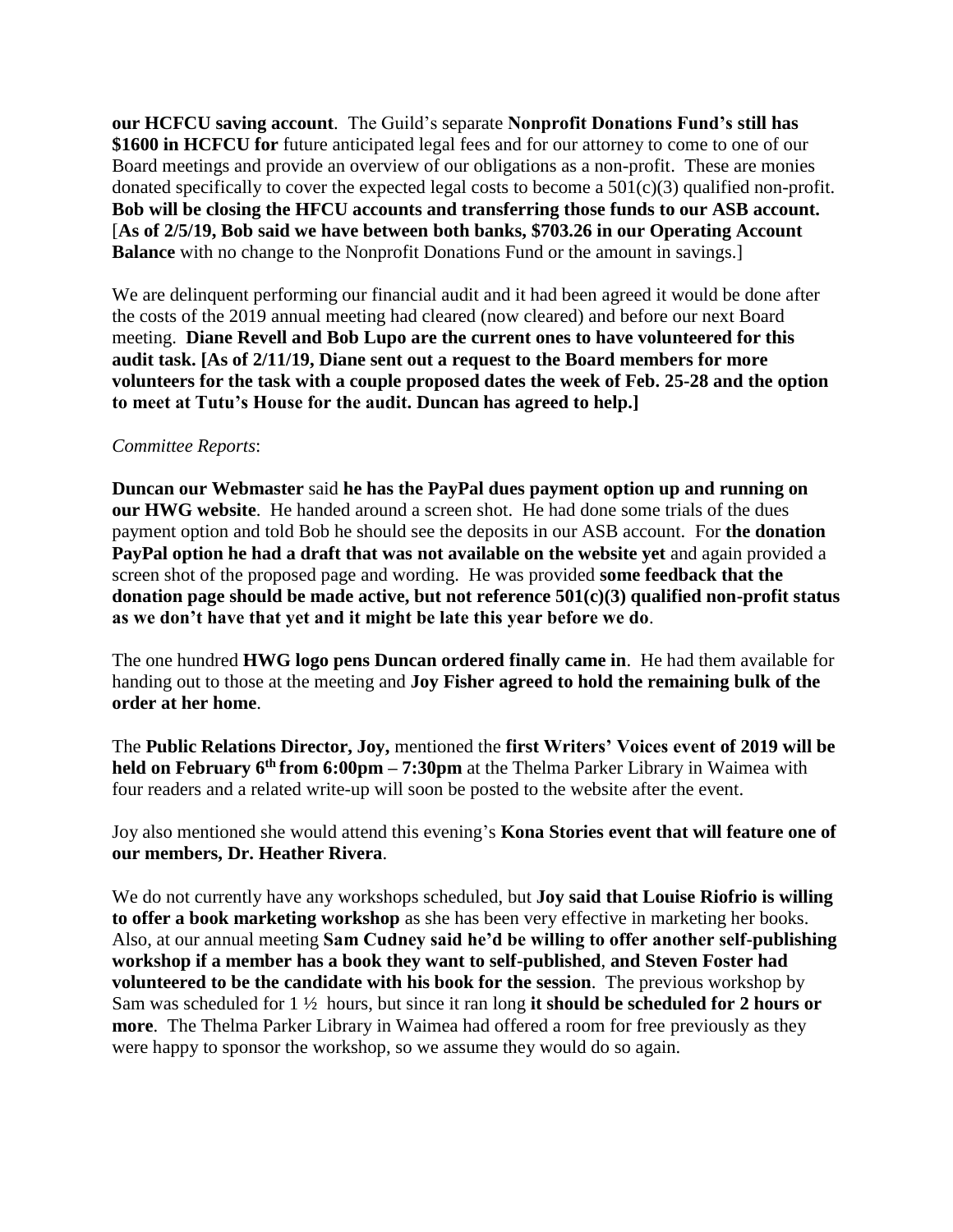**our HCFCU saving account**. The Guild's separate **Nonprofit Donations Fund's still has \$1600 in HCFCU for** future anticipated legal fees and for our attorney to come to one of our Board meetings and provide an overview of our obligations as a non-profit. These are monies donated specifically to cover the expected legal costs to become a  $501(c)(3)$  qualified non-profit. **Bob will be closing the HFCU accounts and transferring those funds to our ASB account.** [**As of 2/5/19, Bob said we have between both banks, \$703.26 in our Operating Account Balance** with no change to the Nonprofit Donations Fund or the amount in savings.]

We are delinquent performing our financial audit and it had been agreed it would be done after the costs of the 2019 annual meeting had cleared (now cleared) and before our next Board meeting. **Diane Revell and Bob Lupo are the current ones to have volunteered for this audit task. [As of 2/11/19, Diane sent out a request to the Board members for more volunteers for the task with a couple proposed dates the week of Feb. 25-28 and the option to meet at Tutu's House for the audit. Duncan has agreed to help.]**

## *Committee Reports*:

**Duncan our Webmaster** said **he has the PayPal dues payment option up and running on our HWG website**. He handed around a screen shot. He had done some trials of the dues payment option and told Bob he should see the deposits in our ASB account. For **the donation PayPal option he had a draft that was not available on the website yet** and again provided a screen shot of the proposed page and wording. He was provided **some feedback that the donation page should be made active, but not reference 501(c)(3) qualified non-profit status as we don't have that yet and it might be late this year before we do**.

The one hundred **HWG logo pens Duncan ordered finally came in**. He had them available for handing out to those at the meeting and **Joy Fisher agreed to hold the remaining bulk of the order at her home**.

The **Public Relations Director, Joy,** mentioned the **first Writers' Voices event of 2019 will be held on February 6<sup>th</sup> from 6:00pm – 7:30pm** at the Thelma Parker Library in Waimea with four readers and a related write-up will soon be posted to the website after the event.

Joy also mentioned she would attend this evening's **Kona Stories event that will feature one of our members, Dr. Heather Rivera**.

We do not currently have any workshops scheduled, but **Joy said that Louise Riofrio is willing to offer a book marketing workshop** as she has been very effective in marketing her books. Also, at our annual meeting **Sam Cudney said he'd be willing to offer another self-publishing workshop if a member has a book they want to self-published**, **and Steven Foster had volunteered to be the candidate with his book for the session**. The previous workshop by Sam was scheduled for 1 ½ hours, but since it ran long **it should be scheduled for 2 hours or more**. The Thelma Parker Library in Waimea had offered a room for free previously as they were happy to sponsor the workshop, so we assume they would do so again.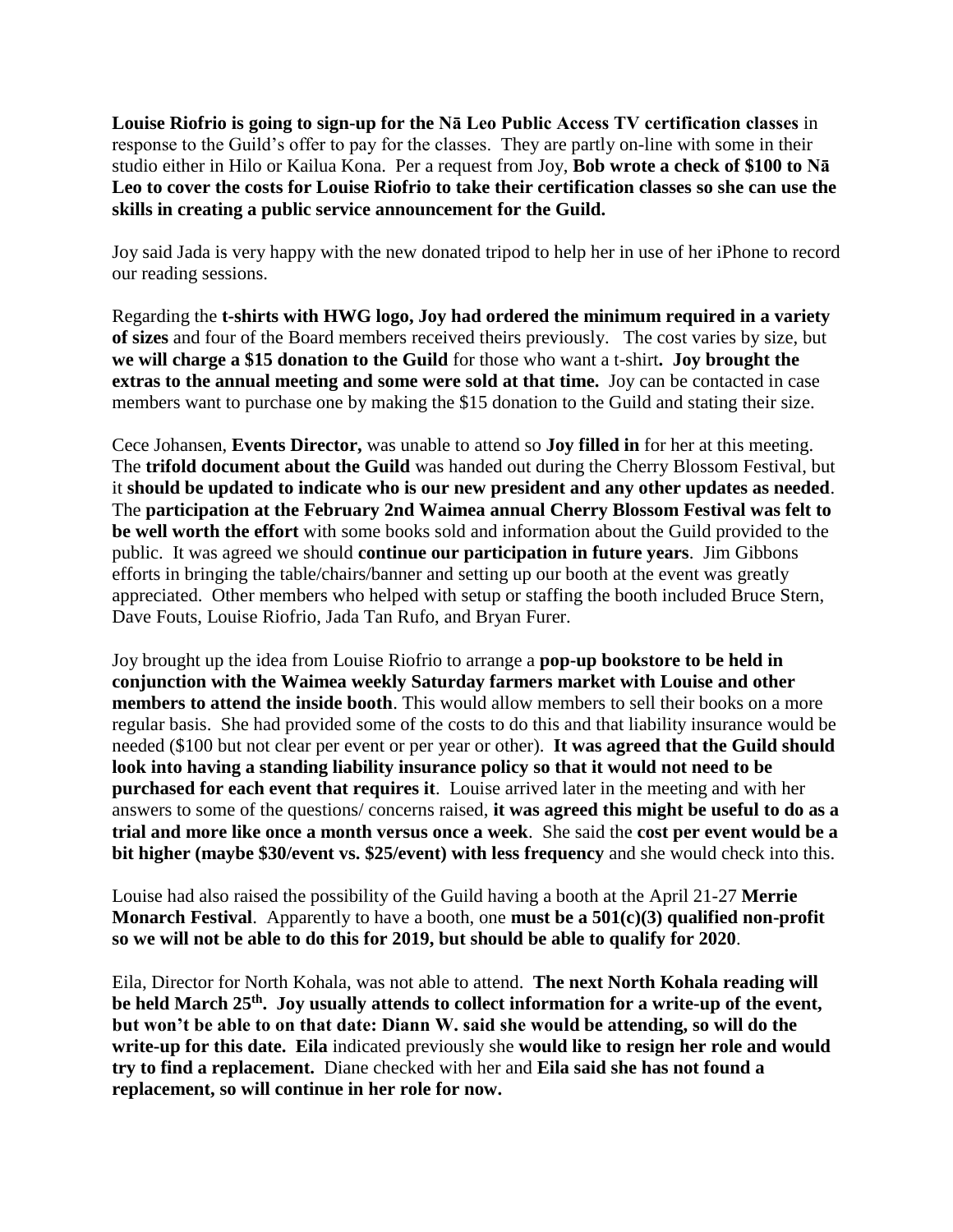**Louise Riofrio is going to sign-up for the Nā Leo Public Access TV certification classes** in response to the Guild's offer to pay for the classes. They are partly on-line with some in their studio either in Hilo or Kailua Kona. Per a request from Joy, **Bob wrote a check of \$100 to Nā Leo to cover the costs for Louise Riofrio to take their certification classes so she can use the skills in creating a public service announcement for the Guild.**

Joy said Jada is very happy with the new donated tripod to help her in use of her iPhone to record our reading sessions.

Regarding the **t-shirts with HWG logo, Joy had ordered the minimum required in a variety of sizes** and four of the Board members received theirs previously. The cost varies by size, but **we will charge a \$15 donation to the Guild** for those who want a t-shirt**. Joy brought the extras to the annual meeting and some were sold at that time.** Joy can be contacted in case members want to purchase one by making the \$15 donation to the Guild and stating their size.

Cece Johansen, **Events Director,** was unable to attend so **Joy filled in** for her at this meeting. The **trifold document about the Guild** was handed out during the Cherry Blossom Festival, but it **should be updated to indicate who is our new president and any other updates as needed**. The **participation at the February 2nd Waimea annual Cherry Blossom Festival was felt to be well worth the effort** with some books sold and information about the Guild provided to the public. It was agreed we should **continue our participation in future years**. Jim Gibbons efforts in bringing the table/chairs/banner and setting up our booth at the event was greatly appreciated. Other members who helped with setup or staffing the booth included Bruce Stern, Dave Fouts, Louise Riofrio, Jada Tan Rufo, and Bryan Furer.

Joy brought up the idea from Louise Riofrio to arrange a **pop-up bookstore to be held in conjunction with the Waimea weekly Saturday farmers market with Louise and other members to attend the inside booth**. This would allow members to sell their books on a more regular basis. She had provided some of the costs to do this and that liability insurance would be needed (\$100 but not clear per event or per year or other). **It was agreed that the Guild should look into having a standing liability insurance policy so that it would not need to be purchased for each event that requires it**. Louise arrived later in the meeting and with her answers to some of the questions/ concerns raised, **it was agreed this might be useful to do as a trial and more like once a month versus once a week**. She said the **cost per event would be a bit higher (maybe \$30/event vs. \$25/event) with less frequency** and she would check into this.

Louise had also raised the possibility of the Guild having a booth at the April 21-27 **Merrie Monarch Festival**. Apparently to have a booth, one **must be a 501(c)(3) qualified non-profit so we will not be able to do this for 2019, but should be able to qualify for 2020**.

Eila, Director for North Kohala, was not able to attend. **The next North Kohala reading will be held March 25th . Joy usually attends to collect information for a write-up of the event, but won't be able to on that date: Diann W. said she would be attending, so will do the write-up for this date. Eila** indicated previously she **would like to resign her role and would try to find a replacement.** Diane checked with her and **Eila said she has not found a replacement, so will continue in her role for now.**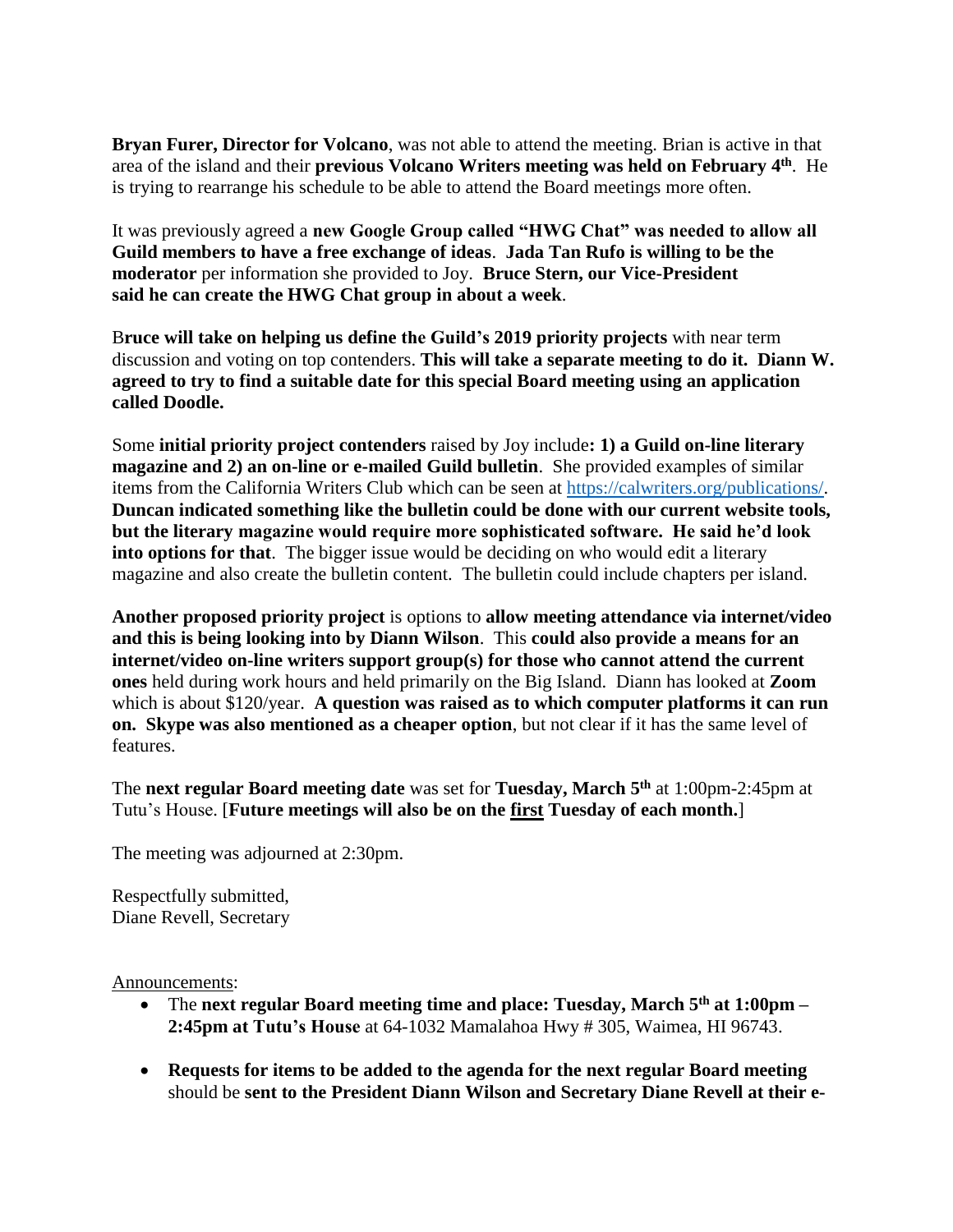**Bryan Furer, Director for Volcano**, was not able to attend the meeting. Brian is active in that area of the island and their **previous Volcano Writers meeting was held on February 4 th** . He is trying to rearrange his schedule to be able to attend the Board meetings more often.

It was previously agreed a **new Google Group called "HWG Chat" was needed to allow all Guild members to have a free exchange of ideas**. **Jada Tan Rufo is willing to be the moderator** per information she provided to Joy. **Bruce Stern, our Vice-President said he can create the HWG Chat group in about a week**.

B**ruce will take on helping us define the Guild's 2019 priority projects** with near term discussion and voting on top contenders. **This will take a separate meeting to do it. Diann W. agreed to try to find a suitable date for this special Board meeting using an application called Doodle.**

Some **initial priority project contenders** raised by Joy include**: 1) a Guild on-line literary magazine and 2) an on-line or e-mailed Guild bulletin**. She provided examples of similar items from the California Writers Club which can be seen at [https://calwriters.org/publications/.](https://calwriters.org/publications/) **Duncan indicated something like the bulletin could be done with our current website tools, but the literary magazine would require more sophisticated software. He said he'd look into options for that**. The bigger issue would be deciding on who would edit a literary magazine and also create the bulletin content. The bulletin could include chapters per island.

**Another proposed priority project** is options to **allow meeting attendance via internet/video and this is being looking into by Diann Wilson**. This **could also provide a means for an internet/video on-line writers support group(s) for those who cannot attend the current ones** held during work hours and held primarily on the Big Island. Diann has looked at **Zoom** which is about \$120/year. **A question was raised as to which computer platforms it can run on. Skype was also mentioned as a cheaper option**, but not clear if it has the same level of features.

The **next regular Board meeting date** was set for **Tuesday, March 5 th** at 1:00pm-2:45pm at Tutu's House. [**Future meetings will also be on the first Tuesday of each month.**]

The meeting was adjourned at 2:30pm.

Respectfully submitted, Diane Revell, Secretary

Announcements:

- The **next regular Board meeting time and place: Tuesday, March 5 th at 1:00pm – 2:45pm at Tutu's House** at 64-1032 Mamalahoa Hwy # 305, Waimea, HI 96743.
- **Requests for items to be added to the agenda for the next regular Board meeting** should be **sent to the President Diann Wilson and Secretary Diane Revell at their e-**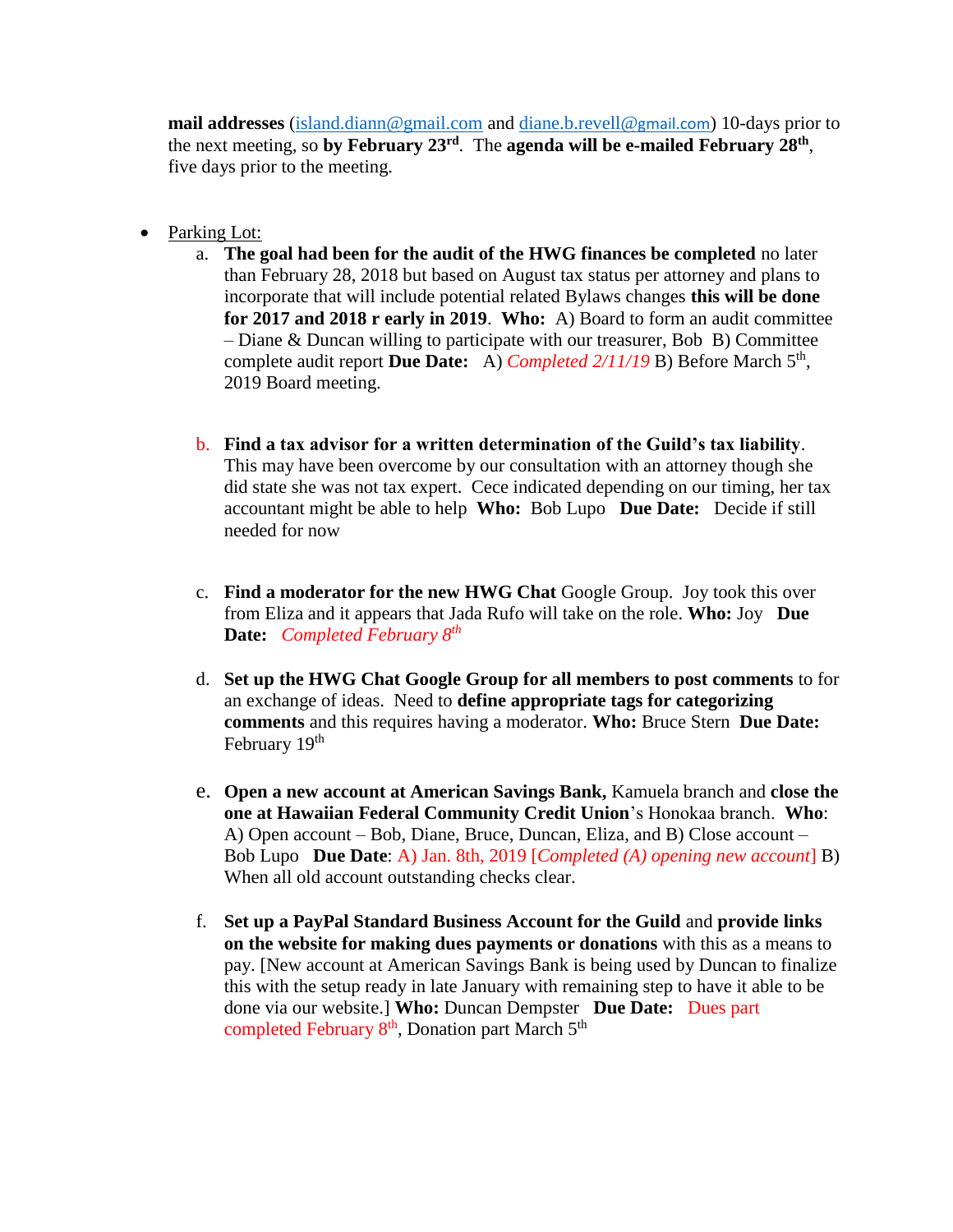**mail addresses** [\(island.diann@gmail.com](mailto:island.diann@gmail.com) and [diane.b.revell@](mailto:diane.b.revell@gmail.com)gmail.com) 10-days prior to the next meeting, so **by February 23 rd** . The **agenda will be e-mailed February 28th** , five days prior to the meeting.

- Parking Lot:
	- a. **The goal had been for the audit of the HWG finances be completed** no later than February 28, 2018 but based on August tax status per attorney and plans to incorporate that will include potential related Bylaws changes **this will be done for 2017 and 2018 r early in 2019**. **Who:** A) Board to form an audit committee – Diane & Duncan willing to participate with our treasurer, Bob B) Committee complete audit report Due Date: A) *Completed 2/11/19* B) Before March 5<sup>th</sup>, 2019 Board meeting.
	- b. **Find a tax advisor for a written determination of the Guild's tax liability**. This may have been overcome by our consultation with an attorney though she did state she was not tax expert. Cece indicated depending on our timing, her tax accountant might be able to help **Who:** Bob Lupo **Due Date:** Decide if still needed for now
	- c. **Find a moderator for the new HWG Chat** Google Group. Joy took this over from Eliza and it appears that Jada Rufo will take on the role. **Who:** Joy **Due Date:** *Completed February 8th*
	- d. **Set up the HWG Chat Google Group for all members to post comments** to for an exchange of ideas. Need to **define appropriate tags for categorizing comments** and this requires having a moderator. **Who:** Bruce Stern **Due Date:** February 19<sup>th</sup>
	- e. **Open a new account at American Savings Bank,** Kamuela branch and **close the one at Hawaiian Federal Community Credit Union**'s Honokaa branch. **Who**: A) Open account – Bob, Diane, Bruce, Duncan, Eliza, and B) Close account – Bob Lupo **Due Date**: A) Jan. 8th, 2019 [*Completed (A) opening new account*] B) When all old account outstanding checks clear.
	- f. **Set up a PayPal Standard Business Account for the Guild** and **provide links on the website for making dues payments or donations** with this as a means to pay. [New account at American Savings Bank is being used by Duncan to finalize this with the setup ready in late January with remaining step to have it able to be done via our website.] **Who:** Duncan Dempster **Due Date:** Dues part completed February 8<sup>th</sup>, Donation part March 5<sup>th</sup>